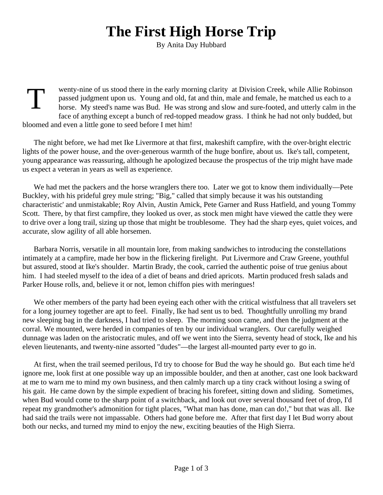## **The First High Horse Trip**

By Anita Day Hubbard

**T** wenty-nine of us stood there in the early morning clarity at Division Creek, while Allie Robinson passed judgment upon us. Young and old, fat and thin, male and female, he matched us each to a horse. My steed's name was Bud. He was strong and slow and sure-footed, and utterly calm in the face of anything except a bunch of red-topped meadow grass. I think he had not only budded, but bloomed and even a little gone to seed before I met him!

The night before, we had met Ike Livermore at that first, makeshift campfire, with the over-bright electric lights of the power house, and the over-generous warmth of the huge bonfire, about us. Ike's tall, competent, young appearance was reassuring, although he apologized because the prospectus of the trip might have made us expect a veteran in years as well as experience.

We had met the packers and the horse wranglers there too. Later we got to know them individually—Pete Buckley, with his prideful grey mule string; "Big," called that simply because it was his outstanding characteristic' and unmistakable; Roy Alvin, Austin Amick, Pete Garner and Russ Hatfield, and young Tommy Scott. There, by that first campfire, they looked us over, as stock men might have viewed the cattle they were to drive over a long trail, sizing up those that might be troublesome. They had the sharp eyes, quiet voices, and accurate, slow agility of all able horsemen.

Barbara Norris, versatile in all mountain lore, from making sandwiches to introducing the constellations intimately at a campfire, made her bow in the flickering firelight. Put Livermore and Craw Greene, youthful but assured, stood at Ike's shoulder. Martin Brady, the cook, carried the authentic poise of true genius about him. I had steeled myself to the idea of a diet of beans and dried apricots. Martin produced fresh salads and Parker House rolls, and, believe it or not, lemon chiffon pies with meringues!

We other members of the party had been eyeing each other with the critical wistfulness that all travelers set for a long journey together are apt to feel. Finally, Ike had sent us to bed. Thoughtfully unrolling my brand new sleeping bag in the darkness, I had tried to sleep. The morning soon came, and then the judgment at the corral. We mounted, were herded in companies of ten by our individual wranglers. Our carefully weighed dunnage was laden on the aristocratic mules, and off we went into the Sierra, seventy head of stock, Ike and his eleven lieutenants, and twenty-nine assorted "dudes"—the largest all-mounted party ever to go in.

At first, when the trail seemed perilous, I'd try to choose for Bud the way he should go. But each time he'd ignore me, look first at one possible way up an impossible boulder, and then at another, cast one look backward at me to warn me to mind my own business, and then calmly march up a tiny crack without losing a swing of his gait. He came down by the simple expedient of bracing his forefeet, sitting down and sliding. Sometimes, when Bud would come to the sharp point of a switchback, and look out over several thousand feet of drop, I'd repeat my grandmother's admonition for tight places, "What man has done, man can do!," but that was all. Ike had said the trails were not impassable. Others had gone before me. After that first day I let Bud worry about both our necks, and turned my mind to enjoy the new, exciting beauties of the High Sierra.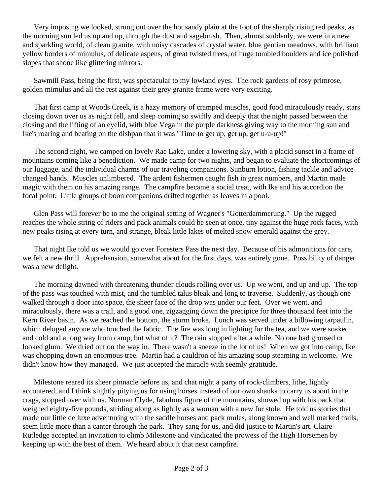Very imposing we looked, strung out over the hot sandy plain at the foot of the sharply rising red peaks, as the morning sun led us up and up, through the dust and sagebrush. Then, almost suddenly, we were in a new and sparkling world, of clean granite, with noisy cascades of crystal water, blue gentian meadows, with brilliant yellow borders of mimulus, of delicate aspens, of great twisted trees, of huge tumbled boulders and ice polished slopes that shone like glittering mirrors.

Sawmill Pass, being the first, was spectacular to my lowland eyes. The rock gardens of rosy primrose, golden mimulus and all the rest against their grey granite frame were very exciting.

That first camp at Woods Creek, is a hazy memory of cramped muscles, good food miraculously ready, stars closing down over us as night fell, and sleep coming so swiftly and deeply that the night passed between the closing and the lifting of an eyelid, with blue Vega in the purple darkness giving way to the morning sun and Ike's roaring and beating on the dishpan that it was "Time to get up, get up, get u-u-up!"

The second night, we camped on lovely Rae Lake, under a lowering sky, with a placid sunset in a frame of mountains coming like a benediction. We made camp for two nights, and began to evaluate the shortcomings of our luggage, and the individual charms of our traveling companions. Sunburn lotion, fishing tackle and advice changed hands. Muscles unlimbered. The ardent fishermen caught fish in great numbers, and Martin made magic with them on his amazing range. The campfire became a social treat, with Ike and his accordion the focal point. Little groups of boon companions drifted together as leaves in a pool.

Glen Pass will forever be to me the original setting of Wagner's "Gotterdammerung." Up the rugged reaches the whole string of riders and pack animals could be seen at once, tiny against the huge rock faces, with new peaks rising at every turn, and strange, bleak little lakes of melted snow emerald against the grey.

That night Ike told us we would go over Foresters Pass the next day. Because of his admonitions for care, we felt a new thrill. Apprehension, somewhat about for the first days, was entirely gone. Possibility of danger was a new delight.

The morning dawned with threatening thunder clouds rolling over us. Up we went, and up and up. The top of the pass was touched with mist, and the tumbled talus bleak and long to traverse. Suddenly, as though one walked through a door into space, the sheer face of the drop was under our feet. Over we went, and miraculously, there was a trail, and a good one, zigzagging down the precipice for three thousand feet into the Kern River basin. As we reached the bottom, the storm broke. Lunch was served under a billowing tarpaulin, which deluged anyone who touched the fabric. The fire was long in lighting for the tea, and we were soaked and cold and a long way from camp, but what of it? The rain stopped after a while. No one had groused or looked glum. We dried out on the way in. There wasn't a sneeze in the lot of us! When we got into camp, Ike was chopping down an enormous tree. Martin had a cauldron of his amazing soup steaming in welcome. We didn't know how they managed. We just accepted the miracle with seemly gratitude.

Milestone reared its sheer pinnacle before us, and chat night a party of rock-climbers, lithe, lightly accoutered, and I think slightly pitying us for using horses instead of our own shanks to carry us about in the crags, stopped over with us. Norman Clyde, fabulous figure of the mountains, showed up with his pack that weighed eighty-five pounds, striding along as lightly as a woman with a new fur stole. He told us stories that made our little de luxe adventuring with the saddle horses and pack mules, along known and well marked trails, seem little more than a canter through the park. They sang for us, and did justice to Martin's art. Claire Rutledge accepted an invitation to climb Milestone and vindicated the prowess of the High Horsemen by keeping up with the best of them. We heard about it that next campfire.